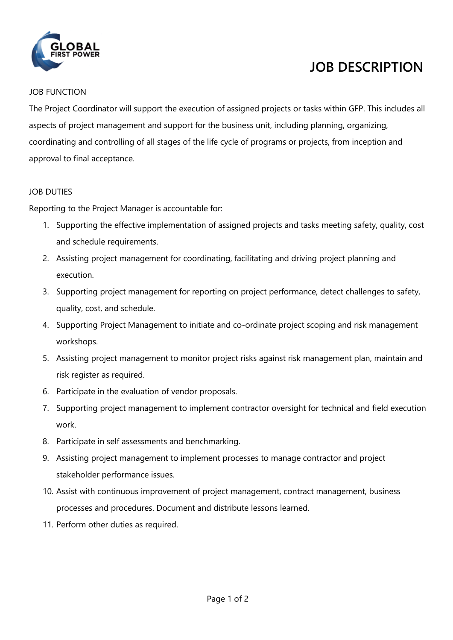

# **JOB DESCRIPTION**

#### JOB FUNCTION

The Project Coordinator will support the execution of assigned projects or tasks within GFP. This includes all aspects of project management and support for the business unit, including planning, organizing, coordinating and controlling of all stages of the life cycle of programs or projects, from inception and approval to final acceptance.

## JOB DUTIES

Reporting to the Project Manager is accountable for:

- 1. Supporting the effective implementation of assigned projects and tasks meeting safety, quality, cost and schedule requirements.
- 2. Assisting project management for coordinating, facilitating and driving project planning and execution.
- 3. Supporting project management for reporting on project performance, detect challenges to safety, quality, cost, and schedule.
- 4. Supporting Project Management to initiate and co-ordinate project scoping and risk management workshops.
- 5. Assisting project management to monitor project risks against risk management plan, maintain and risk register as required.
- 6. Participate in the evaluation of vendor proposals.
- 7. Supporting project management to implement contractor oversight for technical and field execution work.
- 8. Participate in self assessments and benchmarking.
- 9. Assisting project management to implement processes to manage contractor and project stakeholder performance issues.
- 10. Assist with continuous improvement of project management, contract management, business processes and procedures. Document and distribute lessons learned.
- 11. Perform other duties as required.